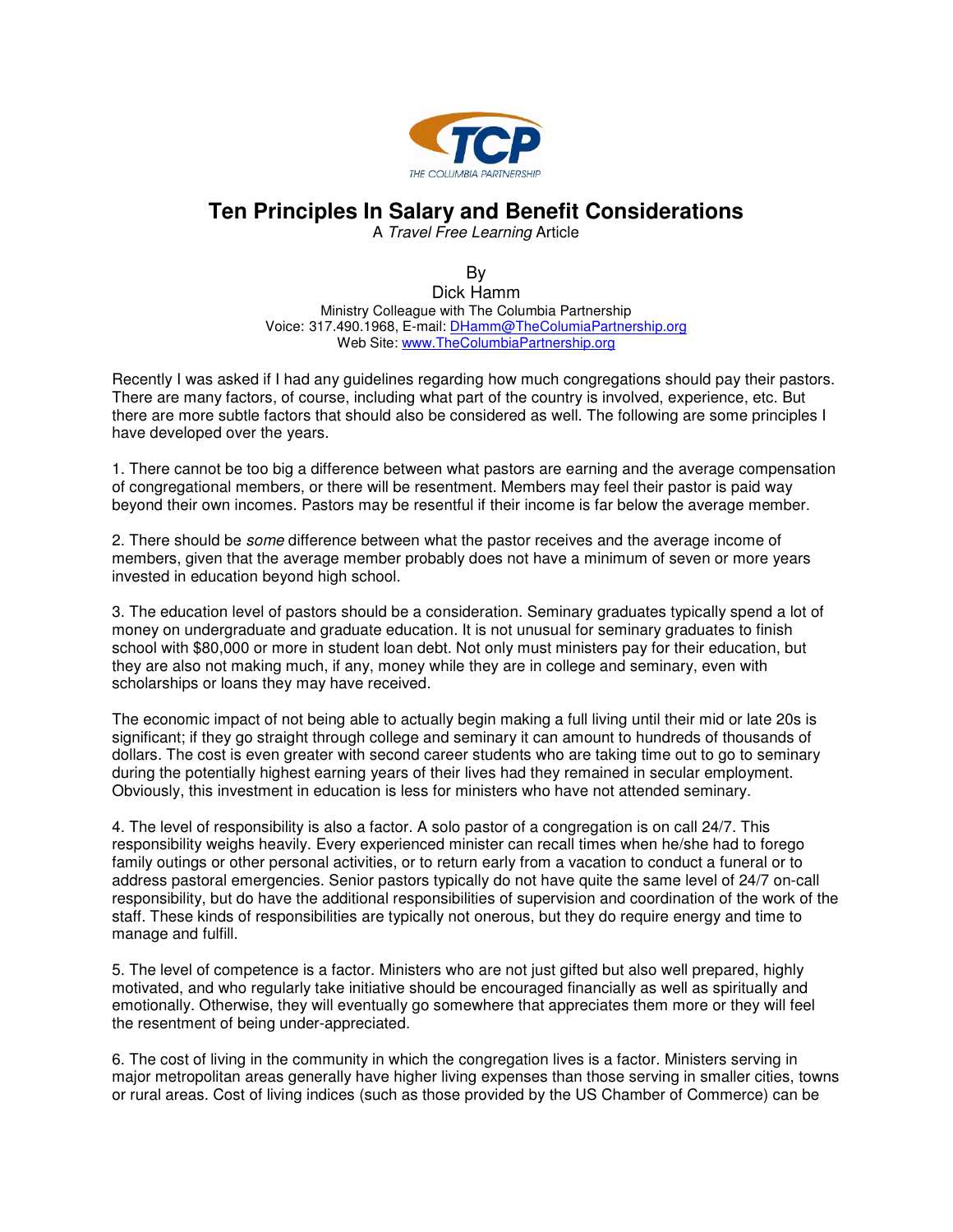

## **Ten Principles In Salary and Benefit Considerations**

A Travel Free Learning Article

By Dick Hamm Ministry Colleague with The Columbia Partnership Voice: 317.490.1968, E-mail: DHamm@TheColumiaPartnership.org Web Site: www.TheColumbiaPartnership.org

Recently I was asked if I had any guidelines regarding how much congregations should pay their pastors. There are many factors, of course, including what part of the country is involved, experience, etc. But there are more subtle factors that should also be considered as well. The following are some principles I have developed over the years.

1. There cannot be too big a difference between what pastors are earning and the average compensation of congregational members, or there will be resentment. Members may feel their pastor is paid way beyond their own incomes. Pastors may be resentful if their income is far below the average member.

2. There should be *some* difference between what the pastor receives and the average income of members, given that the average member probably does not have a minimum of seven or more years invested in education beyond high school.

3. The education level of pastors should be a consideration. Seminary graduates typically spend a lot of money on undergraduate and graduate education. It is not unusual for seminary graduates to finish school with \$80,000 or more in student loan debt. Not only must ministers pay for their education, but they are also not making much, if any, money while they are in college and seminary, even with scholarships or loans they may have received.

The economic impact of not being able to actually begin making a full living until their mid or late 20s is significant; if they go straight through college and seminary it can amount to hundreds of thousands of dollars. The cost is even greater with second career students who are taking time out to go to seminary during the potentially highest earning years of their lives had they remained in secular employment. Obviously, this investment in education is less for ministers who have not attended seminary.

4. The level of responsibility is also a factor. A solo pastor of a congregation is on call 24/7. This responsibility weighs heavily. Every experienced minister can recall times when he/she had to forego family outings or other personal activities, or to return early from a vacation to conduct a funeral or to address pastoral emergencies. Senior pastors typically do not have quite the same level of 24/7 on-call responsibility, but do have the additional responsibilities of supervision and coordination of the work of the staff. These kinds of responsibilities are typically not onerous, but they do require energy and time to manage and fulfill.

5. The level of competence is a factor. Ministers who are not just gifted but also well prepared, highly motivated, and who regularly take initiative should be encouraged financially as well as spiritually and emotionally. Otherwise, they will eventually go somewhere that appreciates them more or they will feel the resentment of being under-appreciated.

6. The cost of living in the community in which the congregation lives is a factor. Ministers serving in major metropolitan areas generally have higher living expenses than those serving in smaller cities, towns or rural areas. Cost of living indices (such as those provided by the US Chamber of Commerce) can be